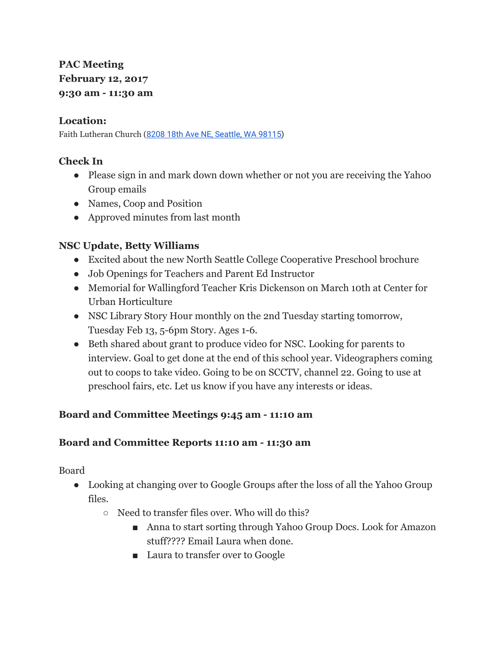# **PAC Meeting February 12, 2017 9:30 am - 11:30 am**

#### **Location:**

Faith Lutheran Church (8208 18th Ave NE, [Seattle,](https://maps.google.com/?q=8208+18th+Ave+NE,+Seattle,+WA+98115&entry=gmail&source=g) WA 98115)

## **Check In**

- Please sign in and mark down down whether or not you are receiving the Yahoo Group emails
- Names, Coop and Position
- Approved minutes from last month

## **NSC Update, Betty Williams**

- Excited about the new North Seattle College Cooperative Preschool brochure
- Job Openings for Teachers and Parent Ed Instructor
- Memorial for Wallingford Teacher Kris Dickenson on March 10th at Center for Urban Horticulture
- NSC Library Story Hour monthly on the 2nd Tuesday starting tomorrow, Tuesday Feb 13, 5-6pm Story. Ages 1-6.
- Beth shared about grant to produce video for NSC. Looking for parents to interview. Goal to get done at the end of this school year. Videographers coming out to coops to take video. Going to be on SCCTV, channel 22. Going to use at preschool fairs, etc. Let us know if you have any interests or ideas.

## **Board and Committee Meetings 9:45 am - 11:10 am**

## **Board and Committee Reports 11:10 am - 11:30 am**

Board

- Looking at changing over to Google Groups after the loss of all the Yahoo Group files.
	- Need to transfer files over. Who will do this?
		- Anna to start sorting through Yahoo Group Docs. Look for Amazon stuff???? Email Laura when done.
		- Laura to transfer over to Google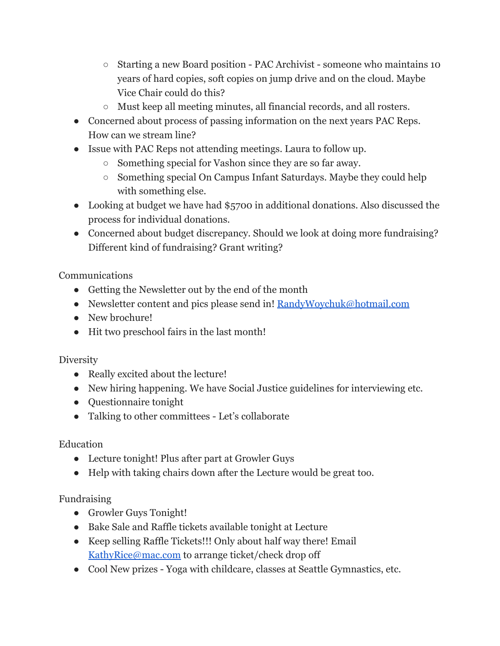- Starting a new Board position PAC Archivist someone who maintains 10 years of hard copies, soft copies on jump drive and on the cloud. Maybe Vice Chair could do this?
- Must keep all meeting minutes, all financial records, and all rosters.
- Concerned about process of passing information on the next years PAC Reps. How can we stream line?
- Issue with PAC Reps not attending meetings. Laura to follow up.
	- Something special for Vashon since they are so far away.
	- Something special On Campus Infant Saturdays. Maybe they could help with something else.
- Looking at budget we have had \$5700 in additional donations. Also discussed the process for individual donations.
- Concerned about budget discrepancy. Should we look at doing more fundraising? Different kind of fundraising? Grant writing?

Communications

- Getting the Newsletter out by the end of the month
- Newsletter content and pics please send in! [RandyWoychuk@hotmail.com](mailto:RandyWoychuk@hotmail.com)
- New brochure!
- Hit two preschool fairs in the last month!

## **Diversity**

- Really excited about the lecture!
- New hiring happening. We have Social Justice guidelines for interviewing etc.
- Questionnaire tonight
- Talking to other committees Let's collaborate

## Education

- Lecture tonight! Plus after part at Growler Guys
- Help with taking chairs down after the Lecture would be great too.

## Fundraising

- Growler Guys Tonight!
- Bake Sale and Raffle tickets available tonight at Lecture
- Keep selling Raffle Tickets!!! Only about half way there! Email [KathyRice@mac.com](mailto:KathyRice@mac.com) to arrange ticket/check drop off
- Cool New prizes Yoga with childcare, classes at Seattle Gymnastics, etc.